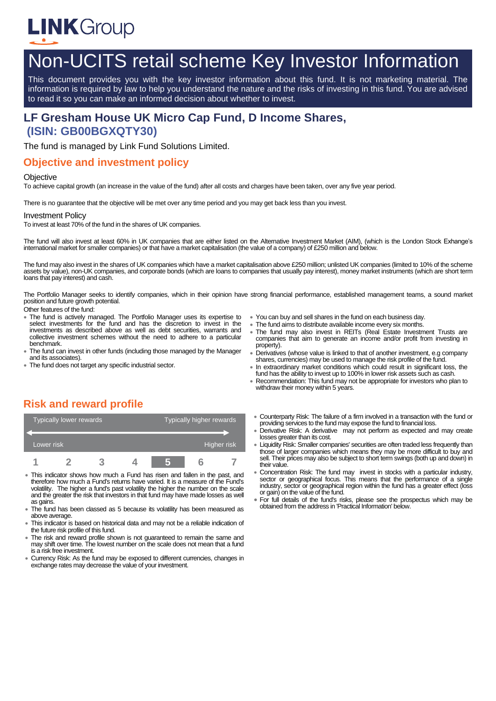

# Non-UCITS retail scheme Key Investor Information

This document provides you with the key investor information about this fund. It is not marketing material. The information is required by law to help you understand the nature and the risks of investing in this fund. You are advised to read it so you can make an informed decision about whether to invest.

# **LF Gresham House UK Micro Cap Fund, D Income Shares, (ISIN: GB00BGXQTY30)**

The fund is managed by Link Fund Solutions Limited.

### **Objective and investment policy**

#### **Objective**

To achieve capital growth (an increase in the value of the fund) after all costs and charges have been taken, over any five year period.

There is no guarantee that the objective will be met over any time period and you may get back less than you invest.

#### Investment Policy

To invest at least 70% of the fund in the shares of UK companies.

The fund will also invest at least 60% in UK companies that are either listed on the Alternative Investment Market (AIM), (which is the London Stock Exhange's international market for smaller companies) or that have a market capitalisation (the value of a company) of £250 million and below.

The fund may also invest in the shares of UK companies which have a market capitalisation above £250 million; unlisted UK companies (limited to 10% of the scheme assets by value), non-UK companies, and corporate bonds (which are loans to companies that usually pay interest), money market instruments (which are short term loans that pay interest) and cash.

The Portfolio Manager seeks to identify companies, which in their opinion have strong financial performance, established management teams, a sound market position and future growth potential.

Other features of the fund:

- The fund is actively managed. The Portfolio Manager uses its expertise to select investments for the fund and has the discretion to invest in the investments as described above as well as debt securities, warrants and collective investment schemes without the need to adhere to a particular benchmark.
- The fund can invest in other funds (including those managed by the Manager and its associates).
- The fund does not target any specific industrial sector.
- You can buy and sell shares in the fund on each business day.
- The fund aims to distribute available income every six months.
- The fund may also invest in REITs (Real Estate Investment Trusts are companies that aim to generate an income and/or profit from investing in property).
- Derivatives (whose value is linked to that of another investment, e.g company shares, currencies) may be used to manage the risk profile of the fund.
- In extraordinary market conditions which could result in significant loss, the fund has the ability to invest up to 100% in lower risk assets such as cash.
- Recommendation: This fund may not be appropriate for investors who plan to withdraw their money within 5 years.

# **Risk and reward profile**

| Typically lower rewards |  |  |  | Typically higher rewards |  |  |
|-------------------------|--|--|--|--------------------------|--|--|
|                         |  |  |  |                          |  |  |
| Lower risk              |  |  |  | Higher risk              |  |  |
|                         |  |  |  |                          |  |  |

- This indicator shows how much a Fund has risen and fallen in the past, and therefore how much a Fund's returns have varied. It is a measure of the Fund's volatility. The higher a fund's past volatility the higher the number on the scale and the greater the risk that investors in that fund may have made losses as well as gains.
- The fund has been classed as 5 because its volatility has been measured as above average.
- This indicator is based on historical data and may not be a reliable indication of the future risk profile of this fund.
- The risk and reward profile shown is not guaranteed to remain the same and may shift over time. The lowest number on the scale does not mean that a fund is a risk free investment.
- Currency Risk: As the fund may be exposed to different currencies, changes in exchange rates may decrease the value of your investment.
- Counterparty Risk: The failure of a firm involved in a transaction with the fund or providing services to the fund may expose the fund to financial loss.
- Derivative Risk: A derivative may not perform as expected and may create losses greater than its cost.
- Liquidity Risk: Smaller companies' securities are often traded less frequently than those of larger companies which means they may be more difficult to buy and sell. Their prices may also be subject to short term swings (both up and down) in their value.
- Concentration Risk: The fund may invest in stocks with a particular industry, sector or geographical focus. This means that the performance of a single industry, sector or geographical region within the fund has a greater effect (loss or gain) on the value of the fund.
- For full details of the fund's risks, please see the prospectus which may be obtained from the address in 'Practical Information' below.